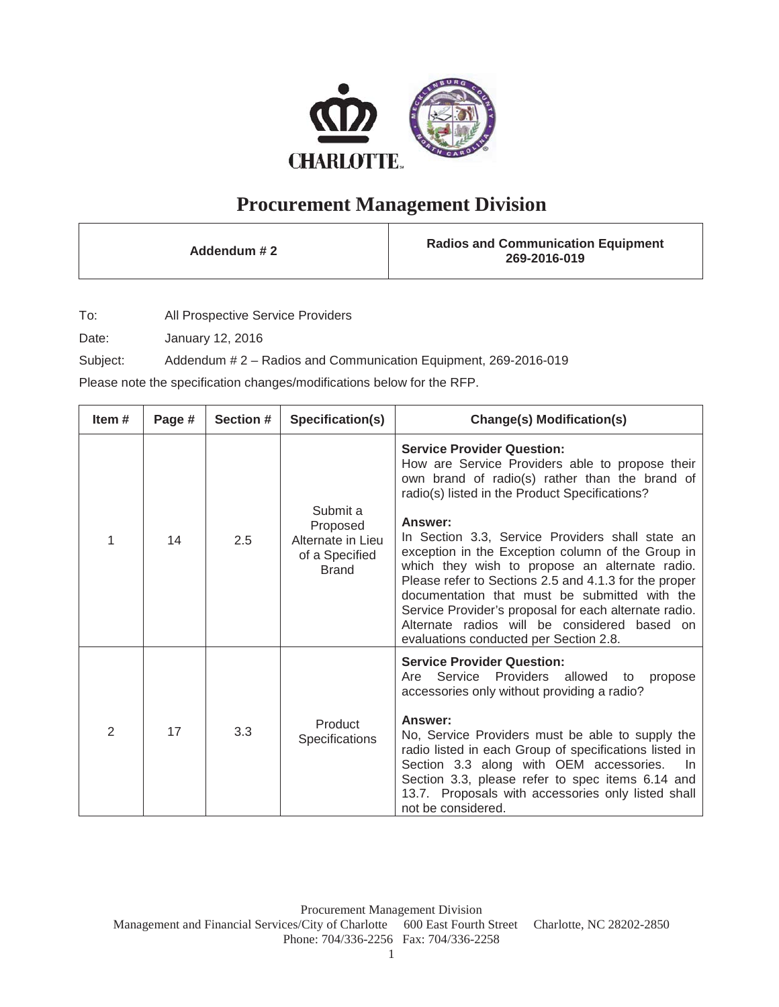

## **Procurement Management Division**

**Addendum # 2 Radios and Communication Equipment 269-2016-019**

To: All Prospective Service Providers

Date: January 12, 2016

Subject: Addendum # 2 – Radios and Communication Equipment, 269-2016-019

Please note the specification changes/modifications below for the RFP.

| Item $#$       | Page # | Section # | Specification(s)                                                            | <b>Change(s) Modification(s)</b>                                                                                                                                                                                                                                                                                                                                                                                                                                                                                                                                                                                            |
|----------------|--------|-----------|-----------------------------------------------------------------------------|-----------------------------------------------------------------------------------------------------------------------------------------------------------------------------------------------------------------------------------------------------------------------------------------------------------------------------------------------------------------------------------------------------------------------------------------------------------------------------------------------------------------------------------------------------------------------------------------------------------------------------|
| 1              | 14     | 2.5       | Submit a<br>Proposed<br>Alternate in Lieu<br>of a Specified<br><b>Brand</b> | <b>Service Provider Question:</b><br>How are Service Providers able to propose their<br>own brand of radio(s) rather than the brand of<br>radio(s) listed in the Product Specifications?<br>Answer:<br>In Section 3.3, Service Providers shall state an<br>exception in the Exception column of the Group in<br>which they wish to propose an alternate radio.<br>Please refer to Sections 2.5 and 4.1.3 for the proper<br>documentation that must be submitted with the<br>Service Provider's proposal for each alternate radio.<br>Alternate radios will be considered based on<br>evaluations conducted per Section 2.8. |
| $\overline{2}$ | 17     | 3.3       | Product<br>Specifications                                                   | <b>Service Provider Question:</b><br>Are Service Providers<br>allowed to<br>propose<br>accessories only without providing a radio?<br>Answer:<br>No, Service Providers must be able to supply the<br>radio listed in each Group of specifications listed in<br>Section 3.3 along with OEM accessories.<br>In.<br>Section 3.3, please refer to spec items 6.14 and<br>13.7. Proposals with accessories only listed shall<br>not be considered.                                                                                                                                                                               |